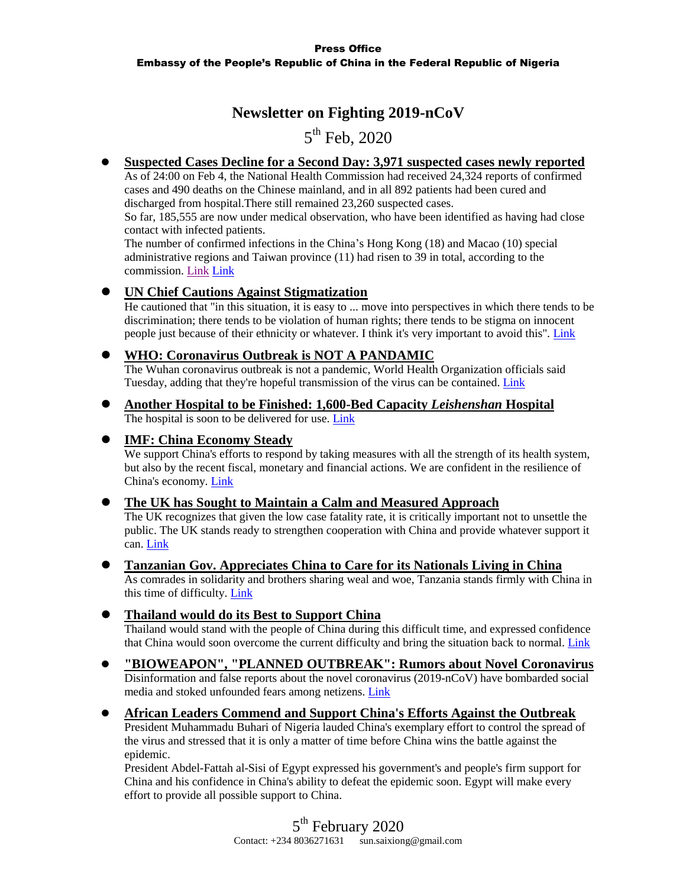## **Newsletter on Fighting 2019-nCoV**

# 5<sup>th</sup> Feb, 2020

## **Suspected Cases Decline for a Second Day: 3,971 suspected cases newly reported**

As of 24:00 on Feb 4, the National Health Commission had received 24,324 reports of confirmed cases and 490 deaths on the Chinese mainland, and in all 892 patients had been cured and discharged from hospital.There still remained 23,260 suspected cases.

So far, 185,555 are now under medical observation, who have been identified as having had close contact with infected patients.

The number of confirmed infections in the China's Hong Kong (18) and Macao (10) special administrative regions and Taiwan province (11) had risen to 39 in total, according to the commission. [Link](https://www.fmprc.gov.cn/mfa_eng/topics_665678/kjgzbdfyyq/t1740818.shtml) Link

### **UN Chief Cautions Against Stigmatization**

He cautioned that "in this situation, it is easy to ... move into perspectives in which there tends to be discrimination; there tends to be violation of human rights; there tends to be stigma on innocent people just because of their ethnicity or whatever. I think it's very important to avoid this". [Link](https://www.fmprc.gov.cn/mfa_eng/topics_665678/kjgzbdfyyq/t1740821.shtml)

### **WHO: Coronavirus Outbreak is NOT A PANDAMIC**

The Wuhan coronavirus outbreak is not a pandemic, World Health Organization officials said Tuesday, adding that they're hopeful transmission of the virus can be contained. [Link](https://edition.cnn.com/2020/02/04/health/who-coronavirus-not-pandemic/index.html)

 **Another Hospital to be Finished: 1,600-Bed Capacity** *Leishenshan* **Hospital** The hospital is soon to be delivered for use. [Link](https://www.chinadaily.com.cn/a/202002/05/WS5e3a5f57a3101282172751e8.html)

## **IMF: China Economy Steady**

We support China's efforts to respond by taking measures with all the strength of its health system, but also by the recent fiscal, monetary and financial actions. We are confident in the resilience of China's economy. [Link](http://en.people.cn/n3/2020/0204/c90000-9654212.html)

### **The UK has Sought to Maintain a Calm and Measured Approach**

The UK recognizes that given the low case fatality rate, it is critically important not to unsettle the public. The UK stands ready to strengthen cooperation with China and provide whatever support it can. [Link](https://www.fmprc.gov.cn/mfa_eng/topics_665678/kjgzbdfyyq/t1740696.shtml)

### **Tanzanian Gov. Appreciates China to Care for its Nationals Living in China**

As comrades in solidarity and brothers sharing weal and woe, Tanzania stands firmly with China in this time of difficulty. [Link](https://www.fmprc.gov.cn/mfa_eng/topics_665678/kjgzbdfyyq/t1740817.shtml)

### **Thailand would do its Best to Support China**

Thailand would stand with the people of China during this difficult time, and expressed confidence that China would soon overcome the current difficulty and bring the situation back to normal. [Link](https://www.fmprc.gov.cn/mfa_eng/topics_665678/kjgzbdfyyq/t1740816.shtml)

#### **"BIOWEAPON", "PLANNED OUTBREAK": Rumors about Novel Coronavirus** Disinformation and false reports about the novel coronavirus (2019-nCoV) have bombarded social

media and stoked unfounded fears among netizens[. Link](http://en.people.cn/n3/2020/0205/c90000-9654381.html)

#### **African Leaders Commend and Support China's Efforts Against the Outbreak**

President Muhammadu Buhari of Nigeria lauded China's exemplary effort to control the spread of the virus and stressed that it is only a matter of time before China wins the battle against the epidemic.

President Abdel-Fattah al-Sisi of Egypt expressed his government's and people's firm support for China and his confidence in China's ability to defeat the epidemic soon. Egypt will make every effort to provide all possible support to China.